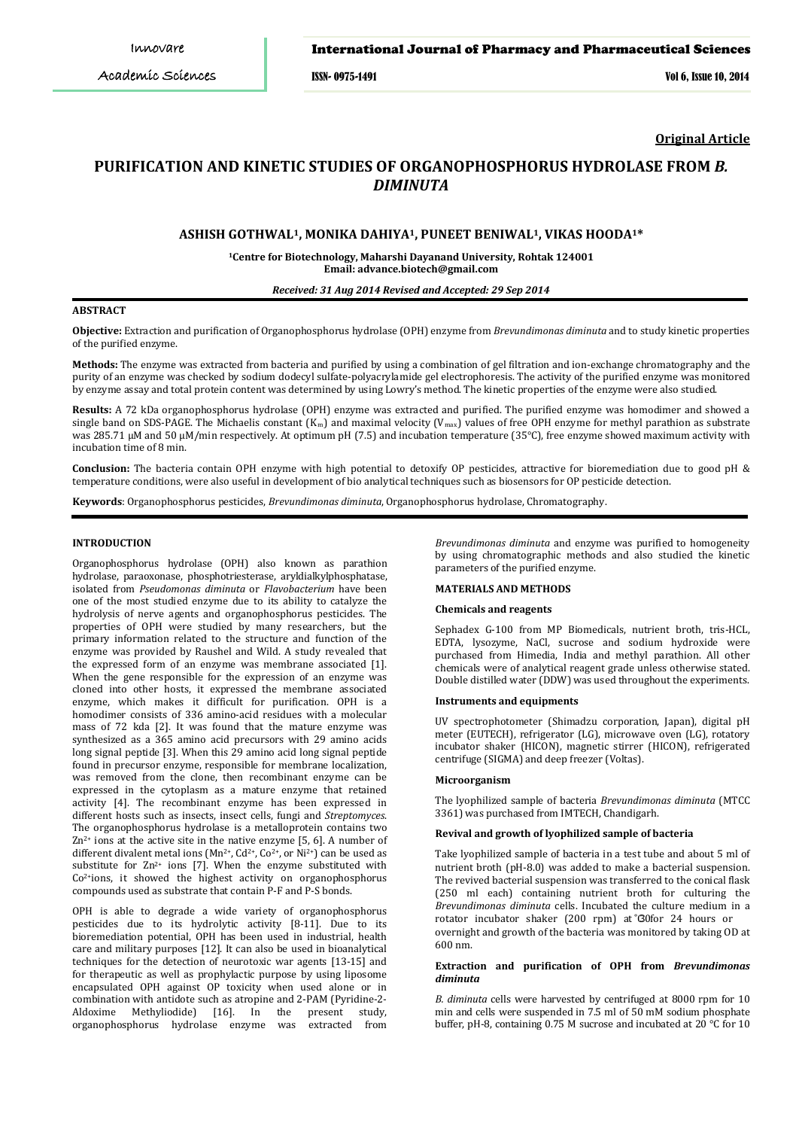# International Journal of Pharmacy and Pharmaceutical Sciences

ISSN- 0975-1491 Vol 6, Issue 10, 2014

**Original Article**

# **PURIFICATION AND KINETIC STUDIES OF ORGANOPHOSPHORUS HYDROLASE FROM** *B. DIMINUTA*

# **ASHISH GOTHWAL1, MONIKA DAHIYA1, PUNEET BENIWAL1, VIKAS HOODA1\***

**1 Centre for Biotechnology, Maharshi Dayanand University, Rohtak 124001 Email: advance.biotech@gmail.com**

#### *Received: 31 Aug 2014 Revised and Accepted: 29 Sep 2014*

#### **ABSTRACT**

**Objective:** Extraction and purification of Organophosphorus hydrolase (OPH) enzyme from *Brevundimonas diminuta* and to study kinetic properties of the purified enzyme.

**Methods:** The enzyme was extracted from bacteria and purified by using a combination of gel filtration and ion-exchange chromatography and the purity of an enzyme was checked by sodium dodecyl sulfate-polyacrylamide gel electrophoresis. The activity of the purified enzyme was monitored by enzyme assay and total protein content was determined by using Lowry's method. The kinetic properties of the enzyme were also studied.

**Results:** A 72 kDa organophosphorus hydrolase (OPH) enzyme was extracted and purified. The purified enzyme was homodimer and showed a single band on SDS-PAGE. The Michaelis constant  $(K_m)$  and maximal velocity (V<sub>max</sub>) values of free OPH enzyme for methyl parathion as substrate was 285.71 μM and 50 μM/min respectively. At optimum pH (7.5) and incubation temperature (35°C), free enzyme showed maximum activity with incubation time of 8 min.

**Conclusion:** The bacteria contain OPH enzyme with high potential to detoxify OP pesticides, attractive for bioremediation due to good pH & temperature conditions, were also useful in development of bio analytical techniques such as biosensors for OP pesticide detection.

**Keywords**: Organophosphorus pesticides, *Brevundimonas diminuta*, Organophosphorus hydrolase, Chromatography.

# **INTRODUCTION**

Organophosphorus hydrolase (OPH) also known as parathion hydrolase, paraoxonase, phosphotriesterase, aryldialkylphosphatase, isolated from *Pseudomonas diminuta* or *Flavobacterium* have been one of the most studied enzyme due to its ability to catalyze the hydrolysis of nerve agents and organophosphorus pesticides. The properties of OPH were studied by many researchers, but the primary information related to the structure and function of the enzyme was provided by Raushel and Wild. A study revealed that the expressed form of an enzyme was membrane associated [1]. When the gene responsible for the expression of an enzyme was cloned into other hosts, it expressed the membrane associated enzyme, which makes it difficult for purification. OPH is a homodimer consists of 336 amino-acid residues with a molecular mass of 72 kda [2]. It was found that the mature enzyme was synthesized as a 365 amino acid precursors with 29 amino acids long signal peptide [3]. When this 29 amino acid long signal peptide found in precursor enzyme, responsible for membrane localization, was removed from the clone, then recombinant enzyme can be expressed in the cytoplasm as a mature enzyme that retained activity [4]. The recombinant enzyme has been expressed in different hosts such as insects, insect cells, fungi and *Streptomyces*. The organophosphorus hydrolase is a metalloprotein contains two  $Zn^{2+}$  ions at the active site in the native enzyme [5, 6]. A number of different divalent metal ions ( $Mn^{2+}$ ,  $Cd^{2+}$ ,  $Co^{2+}$ , or  $Ni^{2+}$ ) can be used as substitute for  $Zn^{2+}$  ions [7]. When the enzyme substituted with Co2+ ions, it showed the highest activity on organophosphorus compounds used as substrate that contain P-F and P-S bonds.

OPH is able to degrade a wide variety of organophosphorus pesticides due to its hydrolytic activity [8-11]. Due to its bioremediation potential, OPH has been used in industrial, health care and military purposes [12]. It can also be used in bioanalytical techniques for the detection of neurotoxic war agents [13-15] and for therapeutic as well as prophylactic purpose by using liposome encapsulated OPH against OP toxicity when used alone or in combination with antidote such as atropine and 2-PAM (Pyridine-2- Aldoxime Methyliodide) [16]. In the present study, organophosphorus hydrolase enzyme was extracted from

*Brevundimonas diminuta* and enzyme was purified to homogeneity by using chromatographic methods and also studied the kinetic parameters of the purified enzyme.

# **MATERIALS AND METHODS**

#### **Chemicals and reagents**

Sephadex G-100 from MP Biomedicals, nutrient broth, tris-HCL, EDTA, lysozyme, NaCl, sucrose and sodium hydroxide were purchased from Himedia, India and methyl parathion. All other chemicals were of analytical reagent grade unless otherwise stated. Double distilled water (DDW) was used throughout the experiments.

# **Instruments and equipments**

UV spectrophotometer (Shimadzu corporation, Japan), digital pH meter (EUTECH), refrigerator (LG), microwave oven (LG), rotatory incubator shaker (HICON), magnetic stirrer (HICON), refrigerated centrifuge (SIGMA) and deep freezer (Voltas).

#### **Microorganism**

The lyophilized sample of bacteria *Brevundimonas diminuta* (MTCC 3361) was purchased from IMTECH, Chandigarh.

## **Revival and growth of lyophilized sample of bacteria**

Take lyophilized sample of bacteria in a test tube and about 5 ml of nutrient broth (pH-8.0) was added to make a bacterial suspension. The revived bacterial suspension was transferred to the conical flask (250 ml each) containing nutrient broth for culturing the *Brevundimonas diminuta* cells. Incubated the culture medium in a rotator incubator shaker (200 rpm) at 30 for 24 hours or overnight and growth of the bacteria was monitored by taking OD at 600 nm.

#### **Extraction and purification of OPH from** *Brevundimonas diminuta*

*B. diminuta* cells were harvested by centrifuged at 8000 rpm for 10 min and cells were suspended in 7.5 ml of 50 mM sodium phosphate buffer, pH-8, containing 0.75 M sucrose and incubated at 20 °C for 10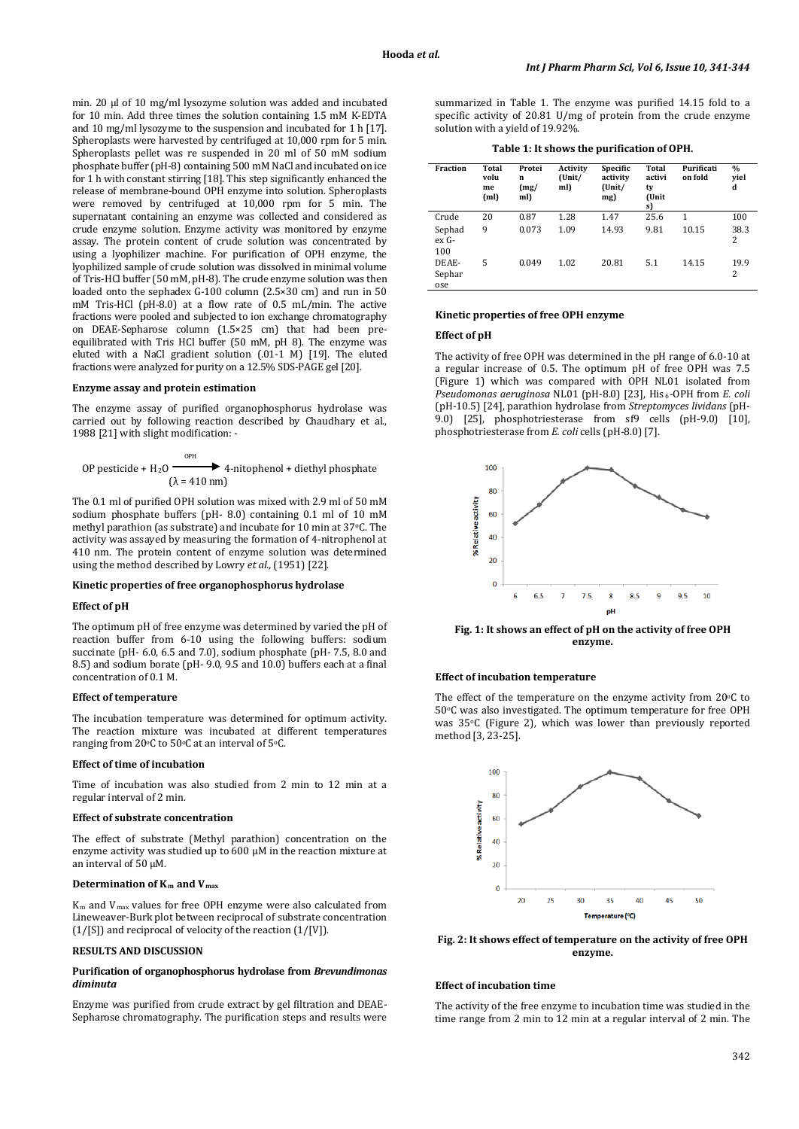min. 20 µl of 10 mg/ml lysozyme solution was added and incubated for 10 min. Add three times the solution containing 1.5 mM K-EDTA and 10 mg/ml lysozyme to the suspension and incubated for 1 h [17]. Spheroplasts were harvested by centrifuged at 10,000 rpm for 5 min. Spheroplasts pellet was re suspended in 20 ml of 50 mM sodium phosphate buffer (pH-8) containing 500 mM NaCl and incubated on ice for 1 h with constant stirring [18]. This step significantly enhanced the release of membrane-bound OPH enzyme into solution. Spheroplasts were removed by centrifuged at 10,000 rpm for 5 min. The supernatant containing an enzyme was collected and considered as crude enzyme solution. Enzyme activity was monitored by enzyme assay. The protein content of crude solution was concentrated by using a lyophilizer machine. For purification of OPH enzyme, the lyophilized sample of crude solution was dissolved in minimal volume of Tris-HCl buffer (50 mM, pH-8). The crude enzyme solution was then loaded onto the sephadex G-100 column (2.5×30 cm) and run in 50 mM Tris-HCl (pH-8.0) at a flow rate of 0.5 mL/min. The active fractions were pooled and subjected to ion exchange chromatography on DEAE-Sepharose column (1.5×25 cm) that had been preequilibrated with Tris HCl buffer (50 mM, pH 8). The enzyme was eluted with a NaCl gradient solution (.01-1 M) [19]. The eluted fractions were analyzed for purity on a 12.5% SDS-PAGE gel [20].

# **Enzyme assay and protein estimation**

The enzyme assay of purified organophosphorus hydrolase was carried out by following reaction described by Chaudhary et al., 1988 [21] with slight modification: -

OP pesticide + H<sub>2</sub>O 
$$
\xrightarrow{\text{OPH}}
$$
 4-nitophenol + diethyl phosphate  
( $\lambda$  = 410 nm)

The 0.1 ml of purified OPH solution was mixed with 2.9 ml of 50 mM sodium phosphate buffers (pH- 8.0) containing 0.1 ml of 10 mM methyl parathion (as substrate) and incubate for 10 min at 37o C. The activity was assayed by measuring the formation of 4-nitrophenol at 410 nm. The protein content of enzyme solution was determined using the method described by Lowry *et al.,* (1951) [22].

#### **Kinetic properties of free organophosphorus hydrolase**

# **Effect of pH**

The optimum pH of free enzyme was determined by varied the pH of reaction buffer from 6-10 using the following buffers: sodium succinate (pH- 6.0, 6.5 and 7.0), sodium phosphate (pH- 7.5, 8.0 and 8.5) and sodium borate (pH- 9.0, 9.5 and 10.0) buffers each at a final concentration of 0.1 M.

#### **Effect of temperature**

The incubation temperature was determined for optimum activity. The reaction mixture was incubated at different temperatures ranging from  $20^{\circ}$ C to  $50^{\circ}$ C at an interval of  $5^{\circ}$ C.

## **Effect of time of incubation**

Time of incubation was also studied from 2 min to 12 min at a regular interval of 2 min.

## **Effect of substrate concentration**

The effect of substrate (Methyl parathion) concentration on the enzyme activity was studied up to 600 μM in the reaction mixture at an interval of 50 μM.

# **Determination of Km and Vmax**

 $K_m$  and  $V_{\text{max}}$  values for free OPH enzyme were also calculated from Lineweaver-Burk plot between reciprocal of substrate concentration (1/[S]) and reciprocal of velocity of the reaction (1/[V]).

#### **RESULTS AND DISCUSSION**

## **Purification of organophosphorus hydrolase from** *Brevundimonas diminuta*

Enzyme was purified from crude extract by gel filtration and DEAE-Sepharose chromatography. The purification steps and results were summarized in Table 1. The enzyme was purified 14.15 fold to a specific activity of 20.81 U/mg of protein from the crude enzyme solution with a yield of 19.92%.

**Table 1: It shows the purification of OPH.**

| Fraction               | Total<br>volu<br>me<br>(ml) | Protei<br>n<br>(mg)<br>ml) | Activity<br>(Unit/<br>ml) | Specific<br>activity<br>(Unit/<br>mg) | Total<br>activi<br>ty<br>(Unit<br>s) | Purificati<br>on fold | $\%$<br>viel<br>d |
|------------------------|-----------------------------|----------------------------|---------------------------|---------------------------------------|--------------------------------------|-----------------------|-------------------|
| Crude                  | 20                          | 0.87                       | 1.28                      | 1.47                                  | 25.6                                 | 1                     | 100               |
| Sephad<br>ex G-<br>100 | 9                           | 0.073                      | 1.09                      | 14.93                                 | 9.81                                 | 10.15                 | 38.3<br>2         |
| DEAE-<br>Sephar<br>ose | 5                           | 0.049                      | 1.02                      | 20.81                                 | 5.1                                  | 14.15                 | 19.9<br>2         |

#### **Kinetic properties of free OPH enzyme**

#### **Effect of pH**

The activity of free OPH was determined in the pH range of 6.0-10 at a regular increase of 0.5. The optimum pH of free OPH was 7.5 (Figure 1) which was compared with OPH NL01 isolated from *Pseudomonas aeruginosa* NL01 (pH-8.0) [23], His<sub>6</sub>-OPH from *E. coli* (pH-10.5) [24], parathion hydrolase from *Streptomyces lividans* (pH-9.0) [25], phosphotriesterase from sf9 cells (pH-9.0) [10], phosphotriesterase from *E. coli* cells (pH-8.0) [7].



**Fig. 1: It shows an effect of pH on the activity of free OPH enzyme.**

#### **Effect of incubation temperature**

The effect of the temperature on the enzyme activity from  $20^{\circ}$ C to 50°C was also investigated. The optimum temperature for free OPH was 35°C (Figure 2), which was lower than previously reported method [3, 23-25].



**Fig. 2: It shows effect of temperature on the activity of free OPH enzyme.**

#### **Effect of incubation time**

The activity of the free enzyme to incubation time was studied in the time range from 2 min to 12 min at a regular interval of 2 min. The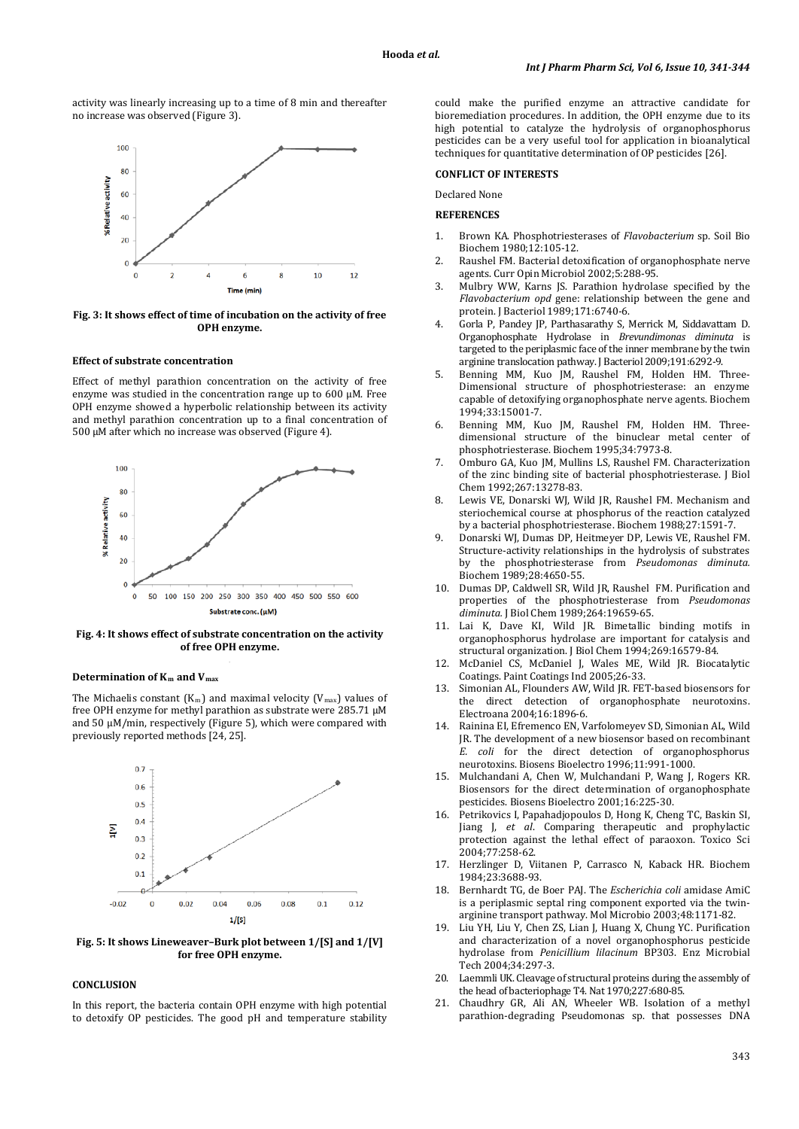activity was linearly increasing up to a time of 8 min and thereafter no increase was observed (Figure 3).



#### **Fig. 3: It shows effect of time of incubation on the activity of free OPH enzyme.**

#### **Effect of substrate concentration**

Effect of methyl parathion concentration on the activity of free enzyme was studied in the concentration range up to 600 µM. Free OPH enzyme showed a hyperbolic relationship between its activity and methyl parathion concentration up to a final concentration of 500 µM after which no increase was observed (Figure 4).



**Fig. 4: It shows effect of substrate concentration on the activity of free OPH enzyme.**

#### **Determination of Km and V max**

The Michaelis constant  $(K_m)$  and maximal velocity  $(V_{max})$  values of free OPH enzyme for methyl parathion as substrate were 285.71 µM and 50 µM/min, respectively (Figure 5), which were compared with previously reported methods [24, 25].



**Fig. 5: It shows Lineweaver–Burk plot between 1/[S] and 1/[V] for free OPH enzyme.**

## **CONCLUSION**

In this report, the bacteria contain OPH enzyme with high potential to detoxify OP pesticides. The good pH and temperature stability could make the purified enzyme an attractive candidate for bioremediation procedures. In addition, the OPH enzyme due to its high potential to catalyze the hydrolysis of organophosphorus pesticides can be a very useful tool for application in bioanalytical techniques for quantitative determination of OP pesticides [26].

# **CONFLICT OF INTERESTS**

Declared None

# **REFERENCES**

- 1. Brown KA. Phosphotriesterases of *Flavobacterium* sp. Soil Bio Biochem 1980;12:105-12.
- 2. Raushel FM. Bacterial detoxification of organophosphate nerve agents. Curr Opin Microbiol 2002;5:288-95.
- 3. Mulbry WW, Karns JS. Parathion hydrolase specified by the *Flavobacterium opd* gene: relationship between the gene and protein. J Bacteriol 1989;171:6740-6.
- 4. Gorla P, Pandey JP, Parthasarathy S, Merrick M, Siddavattam D. Organophosphate Hydrolase in *Brevundimonas diminuta* is targeted to the periplasmic face of the inner membrane by the twin arginine translocation pathway. J Bacteriol 2009;191:6292-9.
- 5. Benning MM, Kuo JM, Raushel FM, Holden HM. Three-Dimensional structure of phosphotriesterase: an enzyme capable of detoxifying organophosphate nerve agents. Biochem 1994;33:15001-7.
- 6. Benning MM, Kuo JM, Raushel FM, Holden HM. Threedimensional structure of the binuclear metal center of phosphotriesterase. Biochem 1995;34:7973-8.
- 7. Omburo GA, Kuo JM, Mullins LS, Raushel FM. Characterization of the zinc binding site of bacterial phosphotriesterase. J Biol Chem 1992;267:13278-83.
- 8. Lewis VE, Donarski WJ, Wild JR, Raushel FM. Mechanism and steriochemical course at phosphorus of the reaction catalyzed by a bacterial phosphotriesterase. Biochem 1988;27:1591-7.
- 9. Donarski WJ, Dumas DP, Heitmeyer DP, Lewis VE, Raushel FM. Structure-activity relationships in the hydrolysis of substrates by the phosphotriesterase from *Pseudomonas diminuta.*  Biochem 1989;28:4650-55.
- 10. Dumas DP, Caldwell SR, Wild JR, Raushel FM. Purification and properties of the phosphotriesterase from *Pseudomonas diminuta.* J Biol Chem 1989;264:19659-65.
- 11. Lai K, Dave KI, Wild JR. Bimetallic binding motifs in organophosphorus hydrolase are important for catalysis and structural organization. J Biol Chem 1994;269:16579-84.
- 12. McDaniel CS, McDaniel J, Wales ME, Wild JR. Biocatalytic Coatings. Paint Coatings Ind 2005;26-33.
- 13. Simonian AL, Flounders AW, Wild JR. FET-based biosensors for the direct detection of organophosphate neurotoxins. Electroana 2004;16:1896-6.
- Rainina EI, Efremenco EN, Varfolomeyev SD, Simonian AL, Wild JR. The development of a new biosensor based on recombinant *E. coli* for the direct detection of organophosphorus neurotoxins. Biosens Bioelectro 1996;11:991-1000.
- 15. Mulchandani A, Chen W, Mulchandani P, Wang J, Rogers KR. Biosensors for the direct determination of organophosphate pesticides. Biosens Bioelectro 2001;16:225-30.
- 16. Petrikovics I, Papahadjopoulos D, Hong K, Cheng TC, Baskin SI, Jiang J, *et al*. Comparing therapeutic and prophylactic protection against the lethal effect of paraoxon. Toxico Sci 2004;77:258-62.
- 17. Herzlinger D, Viitanen P, Carrasco N, Kaback HR. Biochem 1984;23:3688-93.
- 18. Bernhardt TG, de Boer PAJ. The *Escherichia coli* amidase AmiC is a periplasmic septal ring component exported via the twinarginine transport pathway. Mol Microbio 2003;48:1171-82.
- 19. Liu YH, Liu Y, Chen ZS, Lian J, Huang X, Chung YC. Purification and characterization of a novel organophosphorus pesticide hydrolase from *Penicillium lilacinum* BP303. Enz Microbial Tech 2004;34:297-3.
- 20. Laemmli UK. Cleavage of structural proteins during the assembly of the head of bacteriophage T4.Nat 1970;227:680-85.
- 21. Chaudhry GR, Ali AN, Wheeler WB. Isolation of a methyl parathion-degrading Pseudomonas sp. that possesses DNA